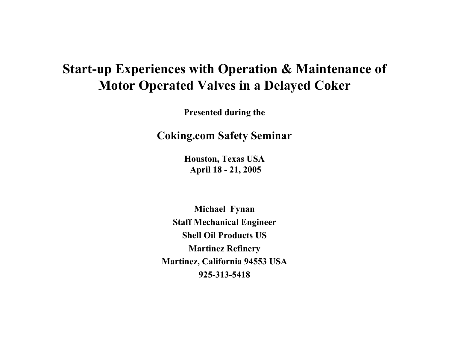## **Start-up Experiences with Operation & Maintenance of Motor Operated Valves in a Delayed Coker**

**Presented during the**

**Coking.com Safety Seminar**

**Houston, Texas USA April 18 - 21, 2005**

**Michael Fynan Staff Mechanical Engineer Shell Oil Products USMartinez Refinery Martinez, California 94553 USA 925-313-5418**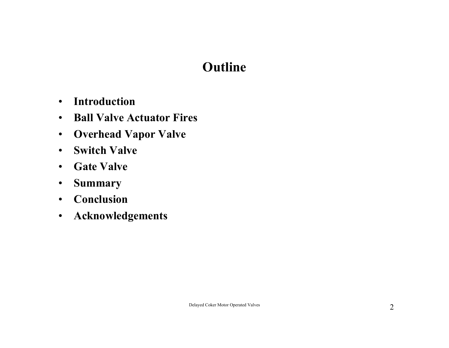# **Outline**

- •**Introduction**
- $\bullet$ **Ball Valve Actuator Fires**
- $\bullet$ **Overhead Vapor Valve**
- $\bullet$ **Switch Valve**
- •**Gate Valve**
- $\bullet$ **Summary**
- •**Conclusion**
- $\bullet$ **Acknowledgements**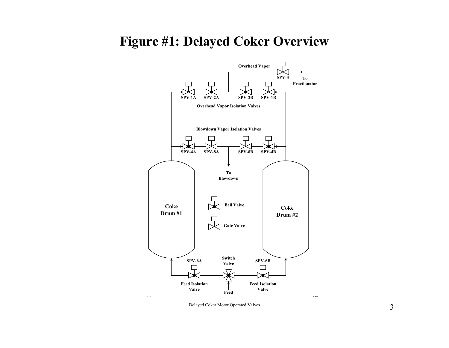#### **Figure #1: Delayed Coker Overview**

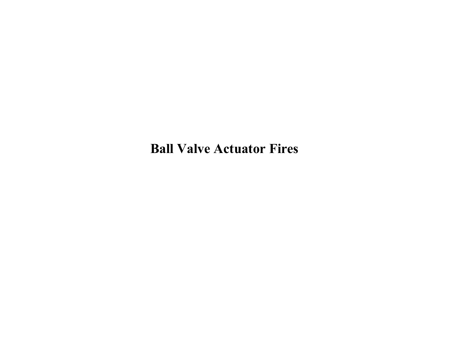**Ball Valve Actuator Fires**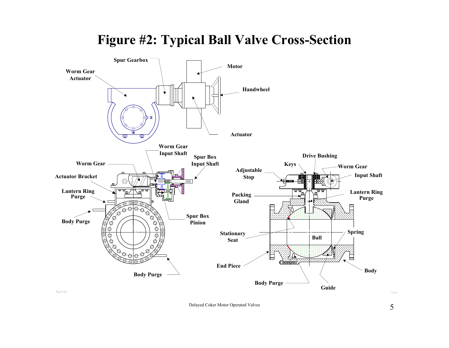

## **Figure #2: Typical Ball Valve Cross-Section**

Fig 2.vsd

Delayed Coker Motor Operated Valves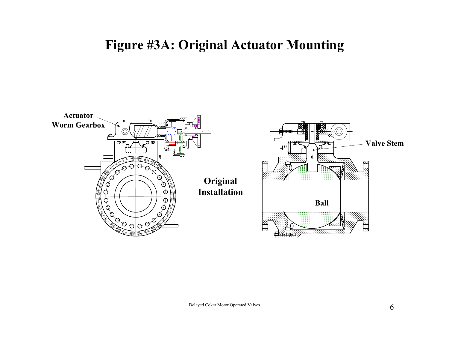### **Figure #3A: Original Actuator Mounting**

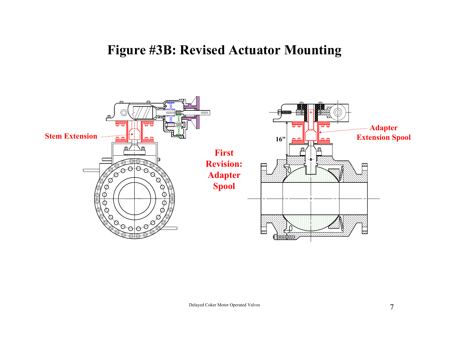#### **Figure #3B: Revised Actuator Mounting**

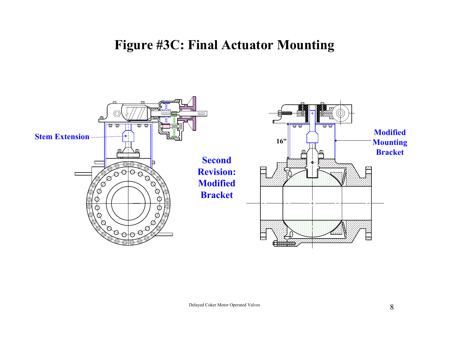### **Figure #3C: Final Actuator Mounting**

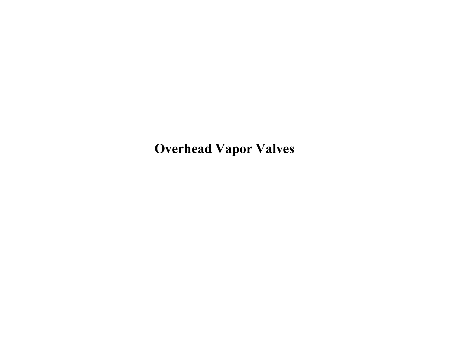**Overhead Vapor Valves**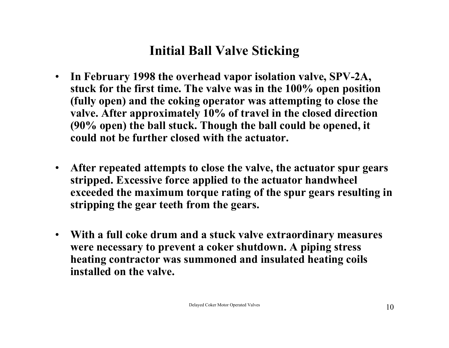# **Initial Ball Valve Sticking**

- $\bullet$  **In February 1998 the overhead vapor isolation valve, SPV-2A, stuck for the first time. The valve was in the 100% open position (fully open) and the coking operator was attempting to close the valve. After approximately 10% of travel in the closed direction (90% open) the ball stuck. Though the ball could be opened, it could not be further closed with the actuator.**
- $\bullet$  **After repeated attempts to close the valve, the actuator spur gears stripped. Excessive force applied to the actuator handwheel exceeded the maximum torque rating of the spur gears resulting in stripping the gear teeth from the gears.**
- **With a full coke drum and a stuck valve extraordinary measures were necessary to prevent a coker shutdown. A piping stress heating contractor was summoned and insulated heating coils installed on the valve.**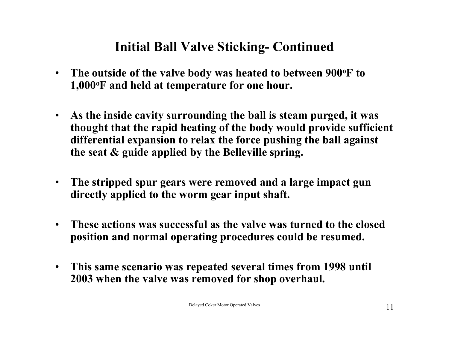## **Initial Ball Valve Sticking- Continued**

- $\bullet$  **The outside of the valve body was heated to between 900oF to 1,000oF and held at temperature for one hour.**
- $\bullet$  **As the inside cavity surrounding the ball is steam purged, it was thought that the rapid heating of the body would provide sufficient differential expansion to relax the force pushing the ball against the seat & guide applied by the Belleville spring.**
- $\bullet$  **The stripped spur gears were removed and a large impact gun directly applied to the worm gear input shaft.**
- $\bullet$  **These actions was successful as the valve was turned to the closed position and normal operating procedures could be resumed.**
- • **This same scenario was repeated several times from 1998 until 2003 when the valve was removed for shop overhaul.**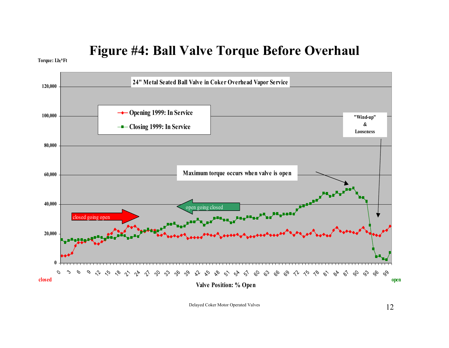### **Figure #4: Ball Valve Torque Before Overhaul**

Torque: Lbf\*Ft

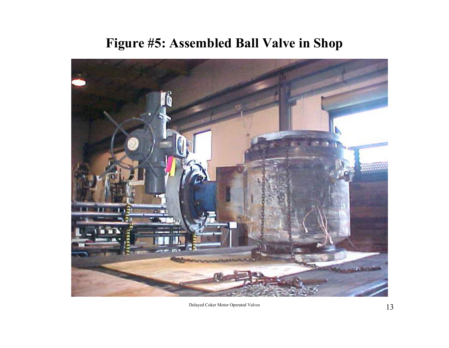# **Figure #5: Assembled Ball Valve in Shop**

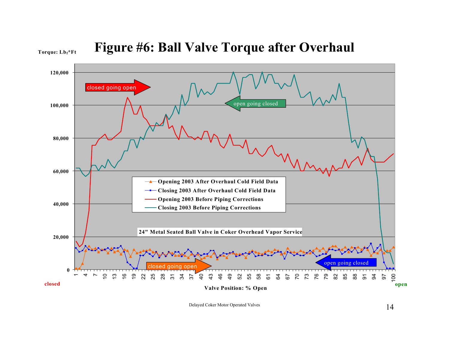Torque: Lb<sub>f</sub>\*Ft



Delayed Coker Motor Operated Valves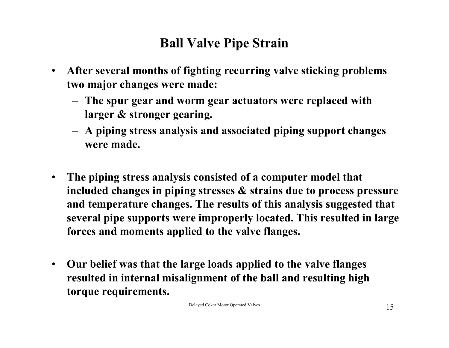# **Ball Valve Pipe Strain**

- • **After several months of fighting recurring valve sticking problems two major changes were made:** 
	- – **The spur gear and worm gear actuators were replaced with larger & stronger gearing.**
	- **A piping stress analysis and associated piping support changes were made.**
- **The piping stress analysis consisted of a computer model that included changes in piping stresses & strains due to process pressure and temperature changes. The results of this analysis suggested that several pipe supports were improperly located. This resulted in large forces and moments applied to the valve flanges.**
- $\bullet$  **Our belief was that the large loads applied to the valve flanges resulted in internal misalignment of the ball and resulting high torque requirements.**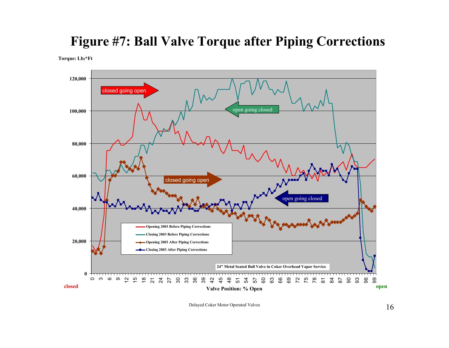#### **Figure #7: Ball Valve Torque after Piping Corrections**

**Torque: Lbf\*Ft**



Delayed Coker Motor Operated Valves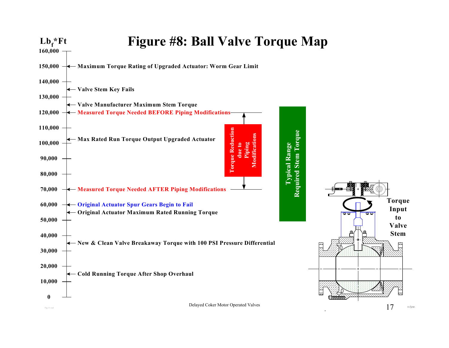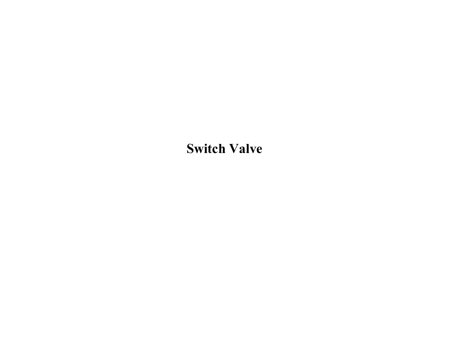# **Switch Valve**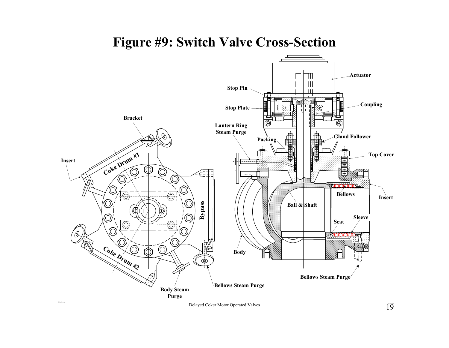#### **Figure #9: Switch Valve Cross-Section**



 $\sum_{\text{Delayed}}$  Coker Motor Operated Valves  $19$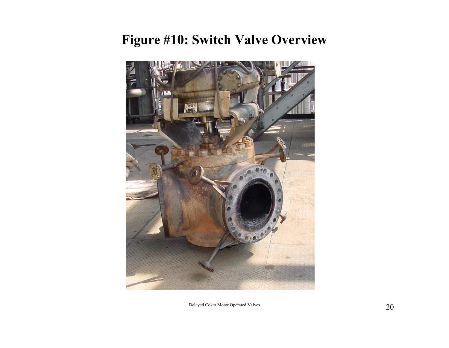## **Figure #10: Switch Valve Overview**

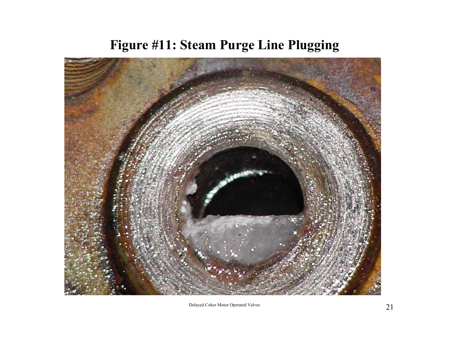# **Figure #11: Steam Purge Line Plugging**

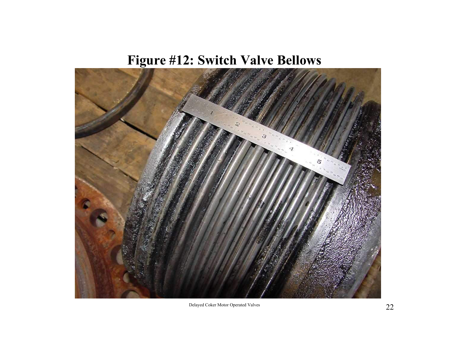# **Figure #12: Switch Valve Bellows**

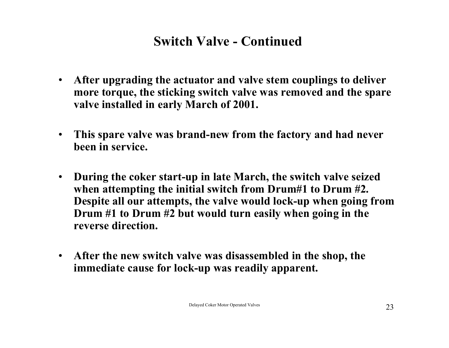## **Switch Valve - Continued**

- $\bullet$  **After upgrading the actuator and valve stem couplings to deliver more torque, the sticking switch valve was removed and the spare valve installed in early March of 2001.**
- $\bullet$  **This spare valve was brand-new from the factory and had never been in service.**
- $\bullet$  **During the coker start-up in late March, the switch valve seized when attempting the initial switch from Drum#1 to Drum #2. Despite all our attempts, the valve would lock-up when going from Drum #1 to Drum #2 but would turn easily when going in the reverse direction.**
- $\bullet$  **After the new switch valve was disassembled in the shop, the immediate cause for lock-up was readily apparent.**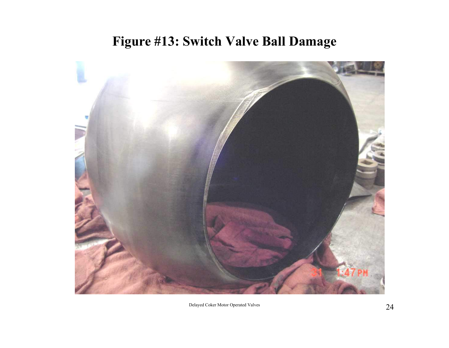## **Figure #13: Switch Valve Ball Damage**

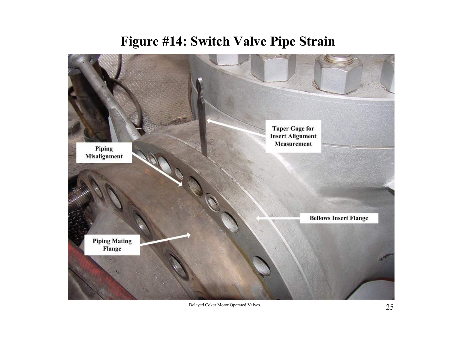### **Figure #14: Switch Valve Pipe Strain**



Delayed Coker Motor Operated Valves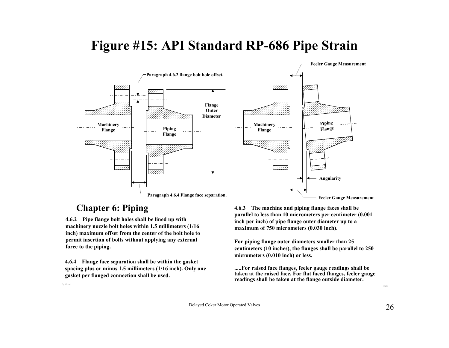## **Figure #15: API Standard RP-686 Pipe Strain**



#### **Chapter 6: Piping**

Fig 17.vsd

**4.6.2 Pipe flange bolt holes shall be lined up with machinery nozzle bolt holes within 1.5 millimeters (1/16 inch) maximum offset from the center of the bolt hole to permit insertion of bolts without applying any external force to the piping.**

**4.6.4 Flange face separation shall be within the gasket spacing plus or minus 1.5 millimeters (1/16 inch). Only one gasket per flanged connection shall be used.**

**4.6.3 The machine and piping flange faces shall be parallel to less than 10 micrometers per centimeter (0.001 inch per inch) of pipe flange outer diameter up to a maximum of 750 micrometers (0.030 inch).**

**For piping flange outer diameters smaller than 25 centimeters (10 inches), the flanges shall be parallel to 250 micrometers (0.010 inch) or less.**

**.....For raised face flanges, feeler gauge readings shall be taken at the raised face. For flat faced flanges, feeler gauge readings shall be taken at the flange outside diameter.**

m.fynan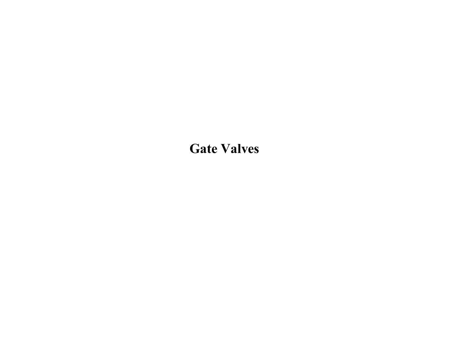**Gate Valves**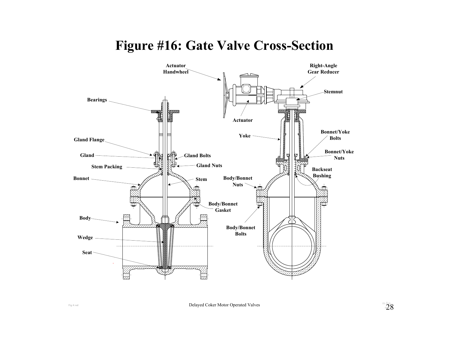#### **Figure #16: Gate Valve Cross-Section**



 $\text{Delayed Coker}\text{ Motor Operated Values} \begin{array}{c} \text{min}\{N_{\text{max}}\} \ \text{sum}\{N_{\text{max}}\} \ \text{sum}\{N_{\text{max}}\} \end{array}$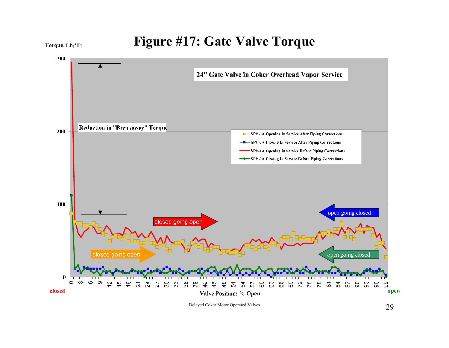

Delayed Coker Motor Operated Valves 29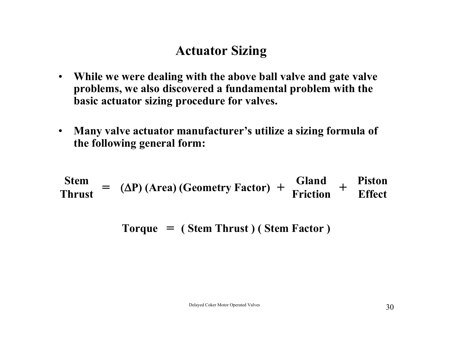## **Actuator Sizing**

- **While we were dealing with the above ball valve and gate valve problems, we also discovered a fundamental problem with the basic actuator sizing procedure for valves.**
- $\bullet$  **Many valve actuator manufacturer's utilize a sizing formula of the following general form:**

**StemThrust=** (Δ**P) (Area) (Geometry Factor) <sup>+</sup> Gland Friction<sup>+</sup> Piston Effect**

**Torque <sup>=</sup> ( Stem Thrust ) ( Stem Factor )**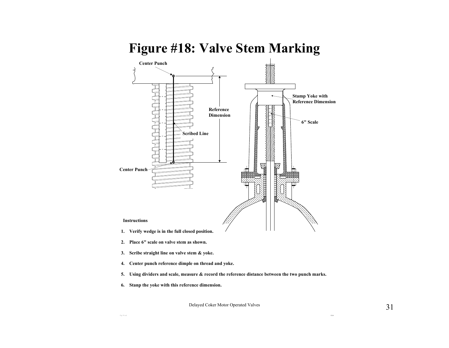#### **Figure #18: Valve Stem Marking**



- **2. Place 6" scale on valve stem as shown.**
- **3. Scribe straight line on valve stem & yoke.**
- **4. Center punch reference dimple on thread and yoke.**
- **5. Using dividers and scale, measure & record the reference distance between the two punch marks.**
- **6. Stanp the yoke with this reference dimension.**

Delayed Coker Motor Operated Valves

m.fynan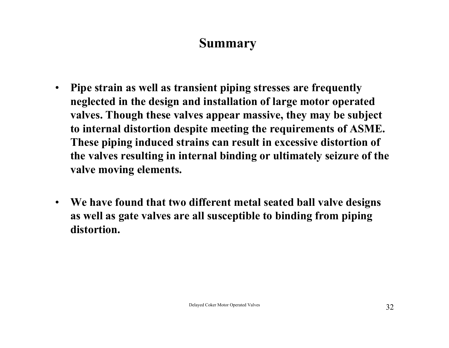#### **Summary**

- $\bullet$  **Pipe strain as well as transient piping stresses are frequently neglected in the design and installation of large motor operated valves. Though these valves appear massive, they may be subject to internal distortion despite meeting the requirements of ASME. These piping induced strains can result in excessive distortion of the valves resulting in internal binding or ultimately seizure of the valve moving elements.**
- **We have found that two different metal seated ball valve designs as well as gate valves are all susceptible to binding from piping distortion.**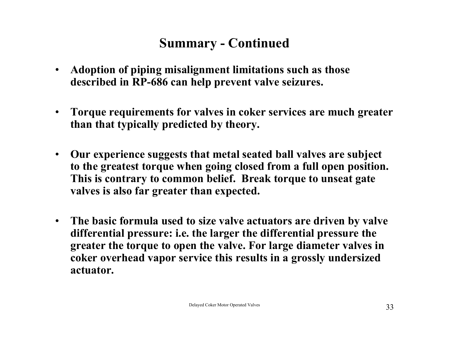# **Summary - Continued**

- $\bullet$  **Adoption of piping misalignment limitations such as those described in RP-686 can help prevent valve seizures.**
- $\bullet$  **Torque requirements for valves in coker services are much greater than that typically predicted by theory.**
- $\bullet$  **Our experience suggests that metal seated ball valves are subject to the greatest torque when going closed from a full open position. This is contrary to common belief. Break torque to unseat gate valves is also far greater than expected.**
- • **The basic formula used to size valve actuators are driven by valve differential pressure: i.e. the larger the differential pressure the greater the torque to open the valve. For large diameter valves in coker overhead vapor service this results in a grossly undersized actuator.**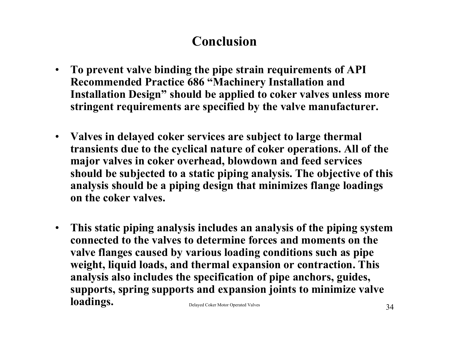# **Conclusion**

- $\bullet$  **To prevent valve binding the pipe strain requirements of API Recommended Practice 686 "Machinery Installation and Installation Design" should be applied to coker valves unless more stringent requirements are specified by the valve manufacturer.**
- **Valves in delayed coker services are subject to large thermal transients due to the cyclical nature of coker operations. All of the major valves in coker overhead, blowdown and feed services should be subjected to a static piping analysis. The objective of this analysis should be a piping design that minimizes flange loadings on the coker valves.**
- Delayed Coker Motor Operated Valves 34  $\bullet$  **This static piping analysis includes an analysis of the piping system connected to the valves to determine forces and moments on the valve flanges caused by various loading conditions such as pipe weight, liquid loads, and thermal expansion or contraction. This analysis also includes the specification of pipe anchors, guides, supports, spring supports and expansion joints to minimize valve loadings.**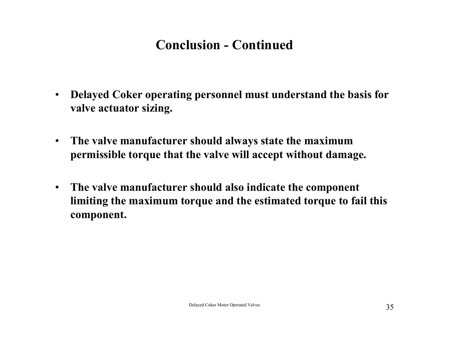# **Conclusion - Continued**

- $\bullet$  **Delayed Coker operating personnel must understand the basis for valve actuator sizing.**
- • **The valve manufacturer should always state the maximum permissible torque that the valve will accept without damage.**
- $\bullet$  **The valve manufacturer should also indicate the component limiting the maximum torque and the estimated torque to fail this component.**